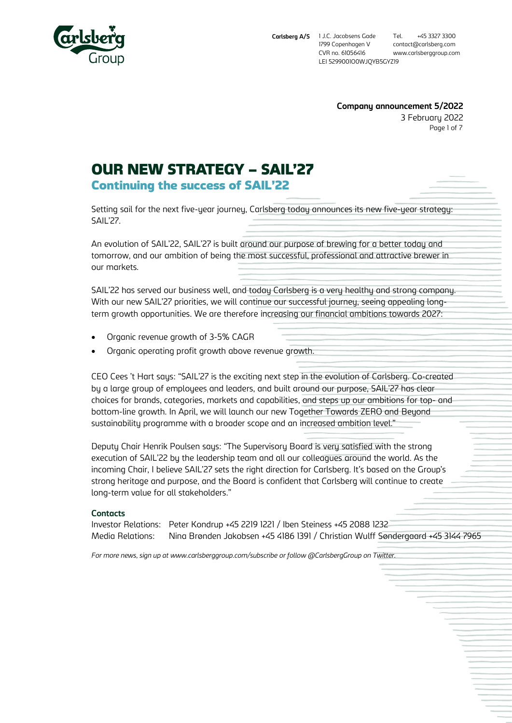

Page 1 of 7 **Company announcement 5/2022** 3 February 2022

OUR NEW STRATEGY – SAIL'27

Continuing the success of SAIL'22

Setting sail for the next five-year journey, Carlsberg today announces its new five-year strategy: SAIL'27.

An evolution of SAIL'22, SAIL'27 is built around our purpose of brewing for a better today and tomorrow, and our ambition of being the most successful, professional and attractive brewer in our markets.

SAIL'22 has served our business well, and today Carlsberg is a very healthy and strong company. With our new SAIL'27 priorities, we will continue our successful journey, seeing appealing longterm growth opportunities. We are therefore increasing our financial ambitions towards 2027:

- Organic revenue growth of 3-5% CAGR
- Organic operating profit growth above revenue growth.

CEO Cees 't Hart says: "SAIL'27 is the exciting next step in the evolution of Carlsberg. Co-created by a large group of employees and leaders, and built around our purpose, SAIL'27 has clear choices for brands, categories, markets and capabilities, and steps up our ambitions for top- and bottom-line growth. In April, we will launch our new Together Towards ZERO and Beyond sustainability programme with a broader scope and an increased ambition level."

Deputy Chair Henrik Poulsen says: "The Supervisory Board is very satisfied with the strong execution of SAIL'22 by the leadership team and all our colleagues around the world. As the incoming Chair, I believe SAIL'27 sets the right direction for Carlsberg. It's based on the Group's strong heritage and purpose, and the Board is confident that Carlsberg will continue to create long-term value for all stakeholders."

## **Contacts**

Investor Relations: Peter Kondrup +45 2219 1221 / Iben Steiness +45 2088 1232 Media Relations: Nina Brønden Jakobsen +45 4186 1391 / Christian Wulff Søndergaard +45 3144 7965

*For more news, sign up at [www.carlsberggroup.com/subscribe](https://www.carlsberggroup.com/subscribe/) or follow [@CarlsbergGroup on Twitter.](https://twitter.com/CarlsbergGroup)*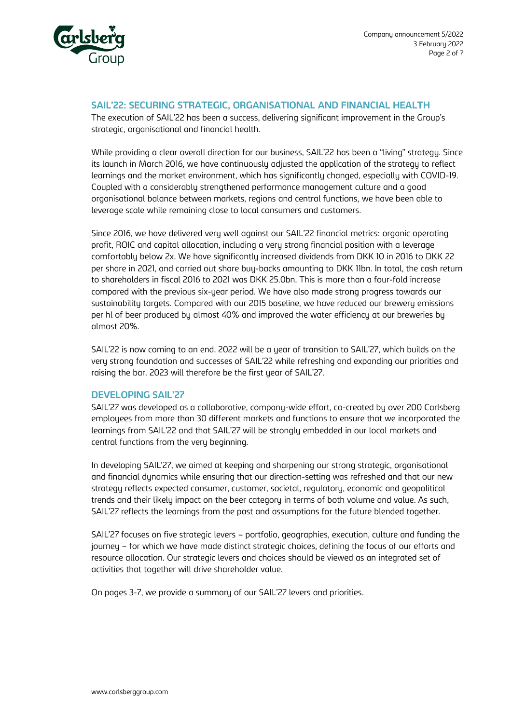

## **SAIL'22: SECURING STRATEGIC, ORGANISATIONAL AND FINANCIAL HEALTH**

The execution of SAIL'22 has been a success, delivering significant improvement in the Group's strategic, organisational and financial health.

While providing a clear overall direction for our business, SAIL'22 has been a "living" strategy. Since its launch in March 2016, we have continuously adjusted the application of the strategy to reflect learnings and the market environment, which has significantly changed, especially with COVID-19. Coupled with a considerably strengthened performance management culture and a good organisational balance between markets, regions and central functions, we have been able to leverage scale while remaining close to local consumers and customers.

Since 2016, we have delivered very well against our SAIL'22 financial metrics: organic operating profit, ROIC and capital allocation, including a very strong financial position with a leverage comfortably below 2x. We have significantly increased dividends from DKK 10 in 2016 to DKK 22 per share in 2021, and carried out share buy-backs amounting to DKK 11bn. In total, the cash return to shareholders in fiscal 2016 to 2021 was DKK 25.0bn. This is more than a four-fold increase compared with the previous six-year period. We have also made strong progress towards our sustainability targets. Compared with our 2015 baseline, we have reduced our brewery emissions per hl of beer produced by almost 40% and improved the water efficiency at our breweries by almost 20%.

SAIL'22 is now coming to an end. 2022 will be a year of transition to SAIL'27, which builds on the very strong foundation and successes of SAIL'22 while refreshing and expanding our priorities and raising the bar. 2023 will therefore be the first year of SAIL'27.

## **DEVELOPING SAIL'27**

SAIL'27 was developed as a collaborative, company-wide effort, co-created by over 200 Carlsberg employees from more than 30 different markets and functions to ensure that we incorporated the learnings from SAIL'22 and that SAIL'27 will be strongly embedded in our local markets and central functions from the very beginning.

In developing SAIL'27, we aimed at keeping and sharpening our strong strategic, organisational and financial dynamics while ensuring that our direction-setting was refreshed and that our new strategy reflects expected consumer, customer, societal, regulatory, economic and geopolitical trends and their likely impact on the beer category in terms of both volume and value. As such, SAIL'27 reflects the learnings from the past and assumptions for the future blended together.

SAIL'27 focuses on five strategic levers – portfolio, geographies, execution, culture and funding the journey – for which we have made distinct strategic choices, defining the focus of our efforts and resource allocation. Our strategic levers and choices should be viewed as an integrated set of activities that together will drive shareholder value.

On pages 3-7, we provide a summary of our SAIL'27 levers and priorities.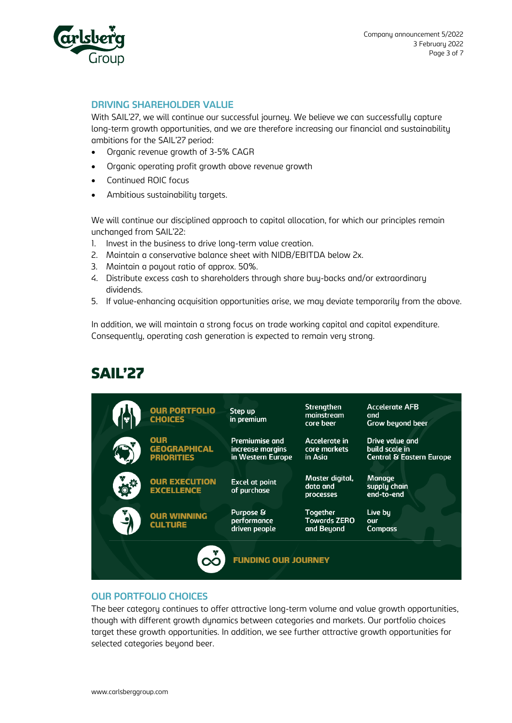

# **DRIVING SHAREHOLDER VALUE**

With SAIL'27, we will continue our successful journey. We believe we can successfully capture long-term growth opportunities, and we are therefore increasing our financial and sustainability ambitions for the SAIL'27 period:

- Organic revenue growth of 3-5% CAGR
- Organic operating profit growth above revenue growth
- Continued ROIC focus
- Ambitious sustainability targets.

We will continue our disciplined approach to capital allocation, for which our principles remain unchanged from SAIL'22:

- 1. Invest in the business to drive long-term value creation.
- 2. Maintain a conservative balance sheet with NIDB/EBITDA below 2x.
- 3. Maintain a payout ratio of approx. 50%.
- 4. Distribute excess cash to shareholders through share buy-backs and/or extraordinary dividends.
- 5. If value-enhancing acquisition opportunities arise, we may deviate temporarily from the above.

In addition, we will maintain a strong focus on trade working capital and capital expenditure. Consequently, operating cash generation is expected to remain very strong.



# SAIL'27

# **OUR PORTFOLIO CHOICES**

The beer category continues to offer attractive long-term volume and value growth opportunities, though with different growth dynamics between categories and markets. Our portfolio choices target these growth opportunities. In addition, we see further attractive growth opportunities for selected categories beyond beer.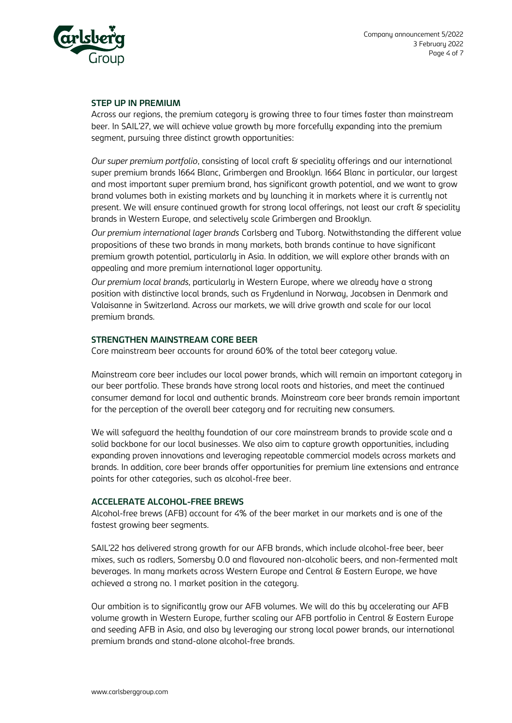

## **STEP UP IN PREMIUM**

Across our regions, the premium category is growing three to four times faster than mainstream beer. In SAIL'27, we will achieve value growth by more forcefully expanding into the premium segment, pursuing three distinct growth opportunities:

*Our super premium portfolio*, consisting of local craft & speciality offerings and our international super premium brands 1664 Blanc, Grimbergen and Brooklyn. 1664 Blanc in particular, our largest and most important super premium brand, has significant growth potential, and we want to grow brand volumes both in existing markets and by launching it in markets where it is currently not present. We will ensure continued growth for strong local offerings, not least our craft & speciality brands in Western Europe, and selectively scale Grimbergen and Brooklyn.

*Our premium international lager brands* Carlsberg and Tuborg. Notwithstanding the different value propositions of these two brands in many markets, both brands continue to have significant premium growth potential, particularly in Asia. In addition, we will explore other brands with an appealing and more premium international lager opportunity.

*Our premium local brands*, particularly in Western Europe, where we already have a strong position with distinctive local brands, such as Frydenlund in Norway, Jacobsen in Denmark and Valaisanne in Switzerland. Across our markets, we will drive growth and scale for our local premium brands.

## **STRENGTHEN MAINSTREAM CORE BEER**

Core mainstream beer accounts for around 60% of the total beer category value.

Mainstream core beer includes our local power brands, which will remain an important category in our beer portfolio. These brands have strong local roots and histories, and meet the continued consumer demand for local and authentic brands. Mainstream core beer brands remain important for the perception of the overall beer category and for recruiting new consumers.

We will safeguard the healthy foundation of our core mainstream brands to provide scale and a solid backbone for our local businesses. We also aim to capture growth opportunities, including expanding proven innovations and leveraging repeatable commercial models across markets and brands. In addition, core beer brands offer opportunities for premium line extensions and entrance points for other categories, such as alcohol-free beer.

## **ACCELERATE ALCOHOL-FREE BREWS**

Alcohol-free brews (AFB) account for 4% of the beer market in our markets and is one of the fastest growing beer segments.

SAIL'22 has delivered strong growth for our AFB brands, which include alcohol-free beer, beer mixes, such as radlers, Somersby 0.0 and flavoured non-alcoholic beers, and non-fermented malt beverages. In many markets across Western Europe and Central & Eastern Europe, we have achieved a strong no. 1 market position in the category.

Our ambition is to significantly grow our AFB volumes. We will do this by accelerating our AFB volume growth in Western Europe, further scaling our AFB portfolio in Central & Eastern Europe and seeding AFB in Asia, and also by leveraging our strong local power brands, our international premium brands and stand-alone alcohol-free brands.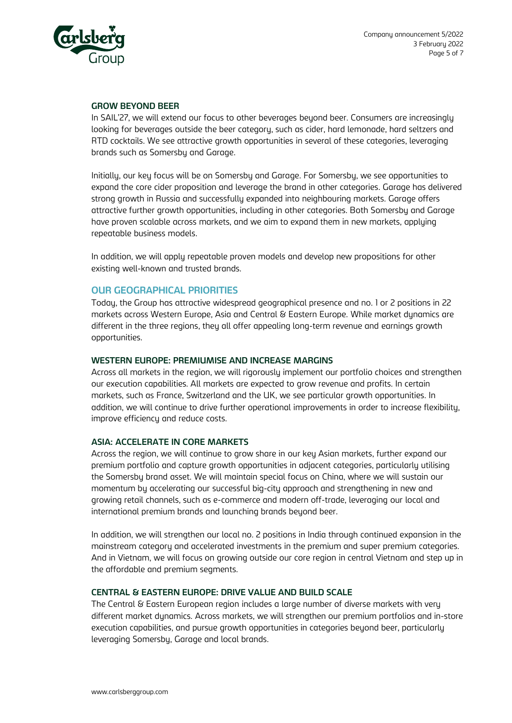

## **GROW BEYOND BEER**

In SAIL'27, we will extend our focus to other beverages beyond beer. Consumers are increasingly looking for beverages outside the beer category, such as cider, hard lemonade, hard seltzers and RTD cocktails. We see attractive growth opportunities in several of these categories, leveraging brands such as Somersby and Garage.

Initially, our key focus will be on Somersby and Garage. For Somersby, we see opportunities to expand the core cider proposition and leverage the brand in other categories. Garage has delivered strong growth in Russia and successfully expanded into neighbouring markets. Garage offers attractive further growth opportunities, including in other categories. Both Somersby and Garage have proven scalable across markets, and we aim to expand them in new markets, applying repeatable business models.

In addition, we will apply repeatable proven models and develop new propositions for other existing well-known and trusted brands.

## **OUR GEOGRAPHICAL PRIORITIES**

Today, the Group has attractive widespread geographical presence and no. 1 or 2 positions in 22 markets across Western Europe, Asia and Central & Eastern Europe. While market dynamics are different in the three regions, they all offer appealing long-term revenue and earnings growth opportunities.

#### **WESTERN EUROPE: PREMIUMISE AND INCREASE MARGINS**

Across all markets in the region, we will rigorously implement our portfolio choices and strengthen our execution capabilities. All markets are expected to grow revenue and profits. In certain markets, such as France, Switzerland and the UK, we see particular growth opportunities. In addition, we will continue to drive further operational improvements in order to increase flexibility, improve efficiency and reduce costs.

## **ASIA: ACCELERATE IN CORE MARKETS**

Across the region, we will continue to grow share in our key Asian markets, further expand our premium portfolio and capture growth opportunities in adjacent categories, particularly utilising the Somersby brand asset. We will maintain special focus on China, where we will sustain our momentum by accelerating our successful big-city approach and strengthening in new and growing retail channels, such as e-commerce and modern off-trade, leveraging our local and international premium brands and launching brands beyond beer.

In addition, we will strengthen our local no. 2 positions in India through continued expansion in the mainstream category and accelerated investments in the premium and super premium categories. And in Vietnam, we will focus on growing outside our core region in central Vietnam and step up in the affordable and premium segments.

## **CENTRAL & EASTERN EUROPE: DRIVE VALUE AND BUILD SCALE**

The Central & Eastern European region includes a large number of diverse markets with very different market dynamics. Across markets, we will strengthen our premium portfolios and in-store execution capabilities, and pursue growth opportunities in categories beyond beer, particularly leveraging Somersby, Garage and local brands.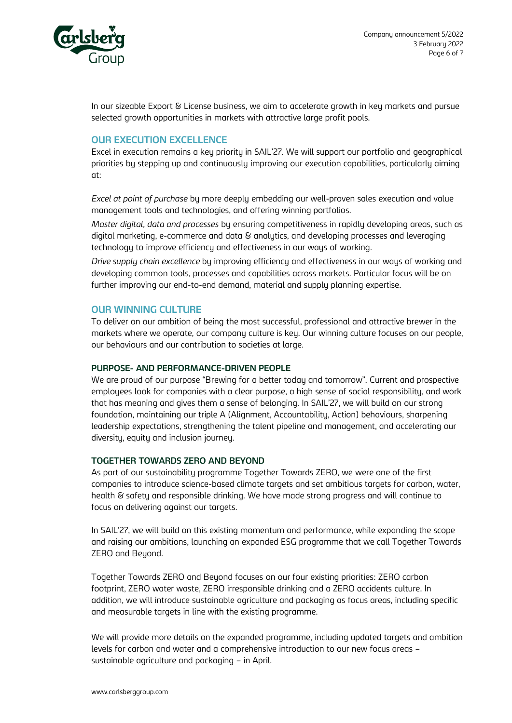

In our sizeable Export & License business, we aim to accelerate growth in key markets and pursue selected growth opportunities in markets with attractive large profit pools.

## **OUR EXECUTION EXCELLENCE**

Excel in execution remains a key priority in SAIL'27. We will support our portfolio and geographical priorities by stepping up and continuously improving our execution capabilities, particularly aiming at:

*Excel at point of purchase* by more deeply embedding our well-proven sales execution and value management tools and technologies, and offering winning portfolios.

*Master digital, data and processes* by ensuring competitiveness in rapidly developing areas, such as digital marketing, e-commerce and data & analytics, and developing processes and leveraging technology to improve efficiency and effectiveness in our ways of working.

*Drive supply chain excellence* by improving efficiency and effectiveness in our ways of working and developing common tools, processes and capabilities across markets. Particular focus will be on further improving our end-to-end demand, material and supply planning expertise.

## **OUR WINNING CULTURE**

To deliver on our ambition of being the most successful, professional and attractive brewer in the markets where we operate, our company culture is key. Our winning culture focuses on our people, our behaviours and our contribution to societies at large.

## **PURPOSE- AND PERFORMANCE-DRIVEN PEOPLE**

We are proud of our purpose "Brewing for a better today and tomorrow". Current and prospective employees look for companies with a clear purpose, a high sense of social responsibility, and work that has meaning and gives them a sense of belonging. In SAIL'27, we will build on our strong foundation, maintaining our triple A (Alignment, Accountability, Action) behaviours, sharpening leadership expectations, strengthening the talent pipeline and management, and accelerating our diversity, equity and inclusion journey.

## **TOGETHER TOWARDS ZERO AND BEYOND**

As part of our sustainability programme Together Towards ZERO, we were one of the first companies to introduce science-based climate targets and set ambitious targets for carbon, water, health & safety and responsible drinking. We have made strong progress and will continue to focus on delivering against our targets.

In SAIL'27, we will build on this existing momentum and performance, while expanding the scope and raising our ambitions, launching an expanded ESG programme that we call Together Towards ZERO and Beyond.

Together Towards ZERO and Beyond focuses on our four existing priorities: ZERO carbon footprint, ZERO water waste, ZERO irresponsible drinking and a ZERO accidents culture. In addition, we will introduce sustainable agriculture and packaging as focus areas, including specific and measurable targets in line with the existing programme.

We will provide more details on the expanded programme, including updated targets and ambition levels for carbon and water and a comprehensive introduction to our new focus areas – sustainable agriculture and packaging – in April.